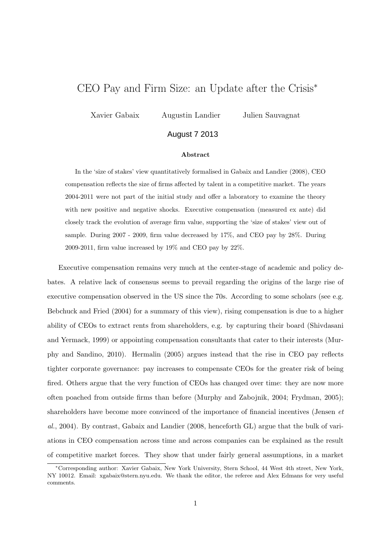# CEO Pay and Firm Size: an Update after the Crisis<sup>∗</sup>

Xavier Gabaix Augustin Landier Julien Sauvagnat

## August 7 2013

#### Abstract

In the 'size of stakes' view quantitatively formalised in Gabaix and Landier (2008), CEO compensation reflects the size of firms affected by talent in a competitive market. The years 2004-2011 were not part of the initial study and offer a laboratory to examine the theory with new positive and negative shocks. Executive compensation (measured ex ante) did closely track the evolution of average firm value, supporting the 'size of stakes' view out of sample. During 2007 - 2009, firm value decreased by 17%, and CEO pay by 28%. During 2009-2011, firm value increased by 19% and CEO pay by 22%.

Executive compensation remains very much at the center-stage of academic and policy debates. A relative lack of consensus seems to prevail regarding the origins of the large rise of executive compensation observed in the US since the 70s. According to some scholars (see e.g. Bebchuck and Fried (2004) for a summary of this view), rising compensation is due to a higher ability of CEOs to extract rents from shareholders, e.g. by capturing their board (Shivdasani and Yermack, 1999) or appointing compensation consultants that cater to their interests (Murphy and Sandino, 2010). Hermalin (2005) argues instead that the rise in CEO pay reflects tighter corporate governance: pay increases to compensate CEOs for the greater risk of being fired. Others argue that the very function of CEOs has changed over time: they are now more often poached from outside firms than before (Murphy and Zabojnik, 2004; Frydman, 2005); shareholders have become more convinced of the importance of financial incentives (Jensen et al., 2004). By contrast, Gabaix and Landier (2008, henceforth GL) argue that the bulk of variations in CEO compensation across time and across companies can be explained as the result of competitive market forces. They show that under fairly general assumptions, in a market

<sup>∗</sup>Corresponding author: Xavier Gabaix, New York University, Stern School, 44 West 4th street, New York, NY 10012. Email: xgabaix@stern.nyu.edu. We thank the editor, the referee and Alex Edmans for very useful comments.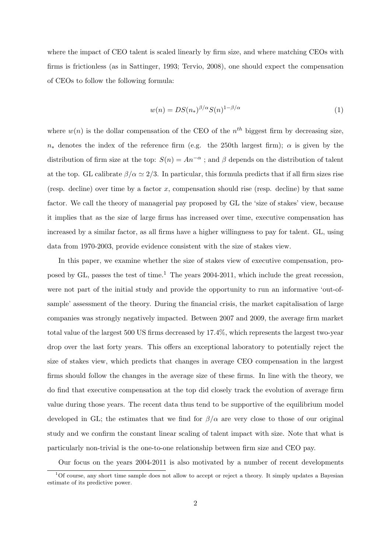where the impact of CEO talent is scaled linearly by firm size, and where matching CEOs with firms is frictionless (as in Sattinger, 1993; Tervio, 2008), one should expect the compensation of CEOs to follow the following formula:

$$
w(n) = DS(n_*)^{\beta/\alpha} S(n)^{1-\beta/\alpha}
$$
\n(1)

where  $w(n)$  is the dollar compensation of the CEO of the  $n<sup>th</sup>$  biggest firm by decreasing size,  $n_{*}$  denotes the index of the reference firm (e.g. the 250th largest firm);  $\alpha$  is given by the distribution of firm size at the top:  $S(n) = An^{-\alpha}$ ; and  $\beta$  depends on the distribution of talent at the top. GL calibrate  $\beta/\alpha \simeq 2/3$ . In particular, this formula predicts that if all firm sizes rise (resp. decline) over time by a factor  $x$ , compensation should rise (resp. decline) by that same factor. We call the theory of managerial pay proposed by GL the 'size of stakes' view, because it implies that as the size of large firms has increased over time, executive compensation has increased by a similar factor, as all firms have a higher willingness to pay for talent. GL, using data from 1970-2003, provide evidence consistent with the size of stakes view.

In this paper, we examine whether the size of stakes view of executive compensation, proposed by GL, passes the test of time.<sup>1</sup> The years 2004-2011, which include the great recession, were not part of the initial study and provide the opportunity to run an informative 'out-ofsample' assessment of the theory. During the financial crisis, the market capitalisation of large companies was strongly negatively impacted. Between 2007 and 2009, the average firm market total value of the largest 500 US firms decreased by 17.4%, which represents the largest two-year drop over the last forty years. This offers an exceptional laboratory to potentially reject the size of stakes view, which predicts that changes in average CEO compensation in the largest firms should follow the changes in the average size of these firms. In line with the theory, we do find that executive compensation at the top did closely track the evolution of average firm value during those years. The recent data thus tend to be supportive of the equilibrium model developed in GL; the estimates that we find for  $\beta/\alpha$  are very close to those of our original study and we confirm the constant linear scaling of talent impact with size. Note that what is particularly non-trivial is the one-to-one relationship between firm size and CEO pay.

Our focus on the years 2004-2011 is also motivated by a number of recent developments

 $1$ <sup>1</sup>Of course, any short time sample does not allow to accept or reject a theory. It simply updates a Bayesian estimate of its predictive power.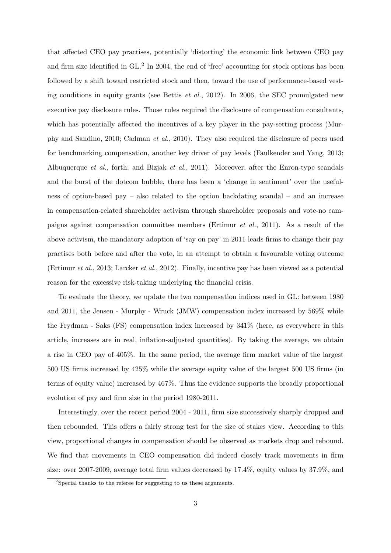that affected CEO pay practises, potentially 'distorting' the economic link between CEO pay and firm size identified in GL.<sup>2</sup> In 2004, the end of 'free' accounting for stock options has been followed by a shift toward restricted stock and then, toward the use of performance-based vesting conditions in equity grants (see Bettis *et al.*, 2012). In 2006, the SEC promulgated new executive pay disclosure rules. Those rules required the disclosure of compensation consultants, which has potentially affected the incentives of a key player in the pay-setting process (Murphy and Sandino, 2010; Cadman et al., 2010). They also required the disclosure of peers used for benchmarking compensation, another key driver of pay levels (Faulkender and Yang, 2013; Albuquerque et al., forth; and Bizjak et al., 2011). Moreover, after the Enron-type scandals and the burst of the dotcom bubble, there has been a 'change in sentiment' over the usefulness of option-based pay – also related to the option backdating scandal – and an increase in compensation-related shareholder activism through shareholder proposals and vote-no campaigns against compensation committee members (Ertimur et al., 2011). As a result of the above activism, the mandatory adoption of 'say on pay' in 2011 leads firms to change their pay practises both before and after the vote, in an attempt to obtain a favourable voting outcome (Ertimur et al., 2013; Larcker et al., 2012). Finally, incentive pay has been viewed as a potential reason for the excessive risk-taking underlying the financial crisis.

To evaluate the theory, we update the two compensation indices used in GL: between 1980 and 2011, the Jensen - Murphy - Wruck (JMW) compensation index increased by 569% while the Frydman - Saks (FS) compensation index increased by 341% (here, as everywhere in this article, increases are in real, inflation-adjusted quantities). By taking the average, we obtain a rise in CEO pay of 405%. In the same period, the average firm market value of the largest 500 US firms increased by 425% while the average equity value of the largest 500 US firms (in terms of equity value) increased by 467%. Thus the evidence supports the broadly proportional evolution of pay and firm size in the period 1980-2011.

Interestingly, over the recent period 2004 - 2011, firm size successively sharply dropped and then rebounded. This offers a fairly strong test for the size of stakes view. According to this view, proportional changes in compensation should be observed as markets drop and rebound. We find that movements in CEO compensation did indeed closely track movements in firm size: over 2007-2009, average total firm values decreased by 17.4%, equity values by 37.9%, and

<sup>2</sup>Special thanks to the referee for suggesting to us these arguments.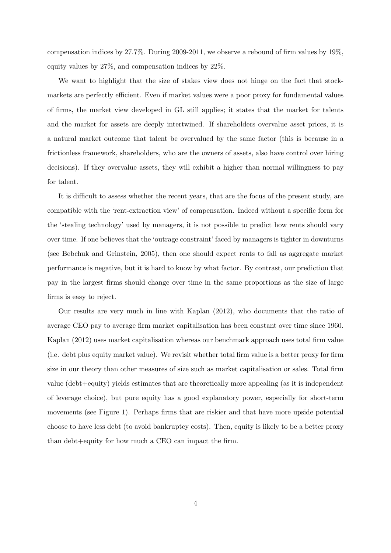compensation indices by 27.7%. During 2009-2011, we observe a rebound of firm values by 19%, equity values by 27%, and compensation indices by 22%.

We want to highlight that the size of stakes view does not hinge on the fact that stockmarkets are perfectly efficient. Even if market values were a poor proxy for fundamental values of firms, the market view developed in GL still applies; it states that the market for talents and the market for assets are deeply intertwined. If shareholders overvalue asset prices, it is a natural market outcome that talent be overvalued by the same factor (this is because in a frictionless framework, shareholders, who are the owners of assets, also have control over hiring decisions). If they overvalue assets, they will exhibit a higher than normal willingness to pay for talent.

It is difficult to assess whether the recent years, that are the focus of the present study, are compatible with the 'rent-extraction view' of compensation. Indeed without a specific form for the 'stealing technology' used by managers, it is not possible to predict how rents should vary over time. If one believes that the 'outrage constraint' faced by managers is tighter in downturns (see Bebchuk and Grinstein, 2005), then one should expect rents to fall as aggregate market performance is negative, but it is hard to know by what factor. By contrast, our prediction that pay in the largest firms should change over time in the same proportions as the size of large firms is easy to reject.

Our results are very much in line with Kaplan (2012), who documents that the ratio of average CEO pay to average firm market capitalisation has been constant over time since 1960. Kaplan (2012) uses market capitalisation whereas our benchmark approach uses total firm value (i.e. debt plus equity market value). We revisit whether total firm value is a better proxy for firm size in our theory than other measures of size such as market capitalisation or sales. Total firm value (debt+equity) yields estimates that are theoretically more appealing (as it is independent of leverage choice), but pure equity has a good explanatory power, especially for short-term movements (see Figure 1). Perhaps firms that are riskier and that have more upside potential choose to have less debt (to avoid bankruptcy costs). Then, equity is likely to be a better proxy than debt+equity for how much a CEO can impact the firm.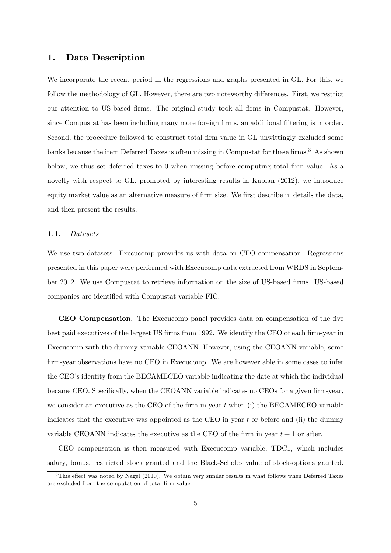## 1. Data Description

We incorporate the recent period in the regressions and graphs presented in GL. For this, we follow the methodology of GL. However, there are two noteworthy differences. First, we restrict our attention to US-based firms. The original study took all firms in Compustat. However, since Compustat has been including many more foreign firms, an additional filtering is in order. Second, the procedure followed to construct total firm value in GL unwittingly excluded some banks because the item Deferred Taxes is often missing in Compustat for these firms.<sup>3</sup> As shown below, we thus set deferred taxes to 0 when missing before computing total firm value. As a novelty with respect to GL, prompted by interesting results in Kaplan (2012), we introduce equity market value as an alternative measure of firm size. We first describe in details the data, and then present the results.

## 1.1. Datasets

We use two datasets. Execucomp provides us with data on CEO compensation. Regressions presented in this paper were performed with Execucomp data extracted from WRDS in September 2012. We use Compustat to retrieve information on the size of US-based firms. US-based companies are identified with Compustat variable FIC.

CEO Compensation. The Execucomp panel provides data on compensation of the five best paid executives of the largest US firms from 1992. We identify the CEO of each firm-year in Execucomp with the dummy variable CEOANN. However, using the CEOANN variable, some firm-year observations have no CEO in Execucomp. We are however able in some cases to infer the CEO's identity from the BECAMECEO variable indicating the date at which the individual became CEO. Specifically, when the CEOANN variable indicates no CEOs for a given firm-year, we consider an executive as the CEO of the firm in year  $t$  when (i) the BECAMECEO variable indicates that the executive was appointed as the CEO in year  $t$  or before and (ii) the dummy variable CEOANN indicates the executive as the CEO of the firm in year  $t + 1$  or after.

CEO compensation is then measured with Execucomp variable, TDC1, which includes salary, bonus, restricted stock granted and the Black-Scholes value of stock-options granted.

 $3$ This effect was noted by Nagel (2010). We obtain very similar results in what follows when Deferred Taxes are excluded from the computation of total firm value.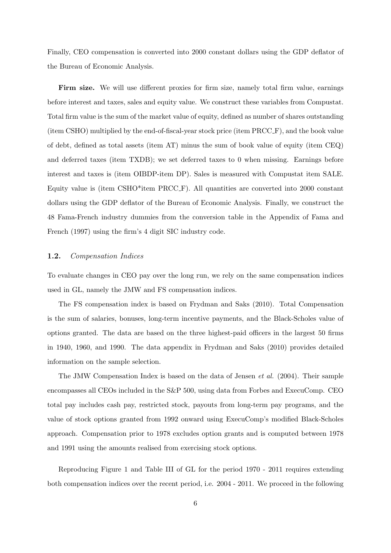Finally, CEO compensation is converted into 2000 constant dollars using the GDP deflator of the Bureau of Economic Analysis.

Firm size. We will use different proxies for firm size, namely total firm value, earnings before interest and taxes, sales and equity value. We construct these variables from Compustat. Total firm value is the sum of the market value of equity, defined as number of shares outstanding (item CSHO) multiplied by the end-of-fiscal-year stock price (item PRCC F), and the book value of debt, defined as total assets (item AT) minus the sum of book value of equity (item CEQ) and deferred taxes (item TXDB); we set deferred taxes to 0 when missing. Earnings before interest and taxes is (item OIBDP-item DP). Sales is measured with Compustat item SALE. Equity value is (item CSHO\*item PRCC F). All quantities are converted into 2000 constant dollars using the GDP deflator of the Bureau of Economic Analysis. Finally, we construct the 48 Fama-French industry dummies from the conversion table in the Appendix of Fama and French (1997) using the firm's 4 digit SIC industry code.

### 1.2. Compensation Indices

To evaluate changes in CEO pay over the long run, we rely on the same compensation indices used in GL, namely the JMW and FS compensation indices.

The FS compensation index is based on Frydman and Saks (2010). Total Compensation is the sum of salaries, bonuses, long-term incentive payments, and the Black-Scholes value of options granted. The data are based on the three highest-paid officers in the largest 50 firms in 1940, 1960, and 1990. The data appendix in Frydman and Saks (2010) provides detailed information on the sample selection.

The JMW Compensation Index is based on the data of Jensen et al. (2004). Their sample encompasses all CEOs included in the S&P 500, using data from Forbes and ExecuComp. CEO total pay includes cash pay, restricted stock, payouts from long-term pay programs, and the value of stock options granted from 1992 onward using ExecuComp's modified Black-Scholes approach. Compensation prior to 1978 excludes option grants and is computed between 1978 and 1991 using the amounts realised from exercising stock options.

Reproducing Figure 1 and Table III of GL for the period 1970 - 2011 requires extending both compensation indices over the recent period, i.e. 2004 - 2011. We proceed in the following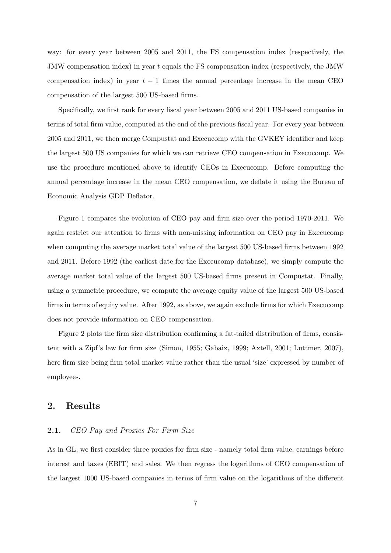way: for every year between 2005 and 2011, the FS compensation index (respectively, the JMW compensation index) in year t equals the FS compensation index (respectively, the JMW compensation index) in year  $t - 1$  times the annual percentage increase in the mean CEO compensation of the largest 500 US-based firms.

Specifically, we first rank for every fiscal year between 2005 and 2011 US-based companies in terms of total firm value, computed at the end of the previous fiscal year. For every year between 2005 and 2011, we then merge Compustat and Execucomp with the GVKEY identifier and keep the largest 500 US companies for which we can retrieve CEO compensation in Execucomp. We use the procedure mentioned above to identify CEOs in Execucomp. Before computing the annual percentage increase in the mean CEO compensation, we deflate it using the Bureau of Economic Analysis GDP Deflator.

Figure 1 compares the evolution of CEO pay and firm size over the period 1970-2011. We again restrict our attention to firms with non-missing information on CEO pay in Execucomp when computing the average market total value of the largest 500 US-based firms between 1992 and 2011. Before 1992 (the earliest date for the Execucomp database), we simply compute the average market total value of the largest 500 US-based firms present in Compustat. Finally, using a symmetric procedure, we compute the average equity value of the largest 500 US-based firms in terms of equity value. After 1992, as above, we again exclude firms for which Execucomp does not provide information on CEO compensation.

Figure 2 plots the firm size distribution confirming a fat-tailed distribution of firms, consistent with a Zipf's law for firm size (Simon, 1955; Gabaix, 1999; Axtell, 2001; Luttmer, 2007), here firm size being firm total market value rather than the usual 'size' expressed by number of employees.

## 2. Results

## 2.1. CEO Pay and Proxies For Firm Size

As in GL, we first consider three proxies for firm size - namely total firm value, earnings before interest and taxes (EBIT) and sales. We then regress the logarithms of CEO compensation of the largest 1000 US-based companies in terms of firm value on the logarithms of the different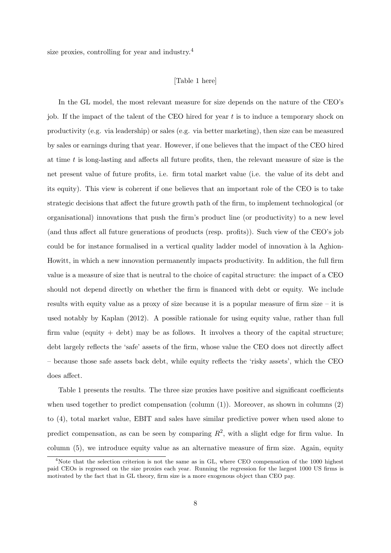size proxies, controlling for year and industry.<sup>4</sup>

## [Table 1 here]

In the GL model, the most relevant measure for size depends on the nature of the CEO's job. If the impact of the talent of the CEO hired for year  $t$  is to induce a temporary shock on productivity (e.g. via leadership) or sales (e.g. via better marketing), then size can be measured by sales or earnings during that year. However, if one believes that the impact of the CEO hired at time  $t$  is long-lasting and affects all future profits, then, the relevant measure of size is the net present value of future profits, i.e. firm total market value (i.e. the value of its debt and its equity). This view is coherent if one believes that an important role of the CEO is to take strategic decisions that affect the future growth path of the firm, to implement technological (or organisational) innovations that push the firm's product line (or productivity) to a new level (and thus affect all future generations of products (resp. profits)). Such view of the CEO's job could be for instance formalised in a vertical quality ladder model of innovation à la Aghion-Howitt, in which a new innovation permanently impacts productivity. In addition, the full firm value is a measure of size that is neutral to the choice of capital structure: the impact of a CEO should not depend directly on whether the firm is financed with debt or equity. We include results with equity value as a proxy of size because it is a popular measure of firm size – it is used notably by Kaplan (2012). A possible rationale for using equity value, rather than full firm value (equity  $+$  debt) may be as follows. It involves a theory of the capital structure; debt largely reflects the 'safe' assets of the firm, whose value the CEO does not directly affect – because those safe assets back debt, while equity reflects the 'risky assets', which the CEO does affect.

Table 1 presents the results. The three size proxies have positive and significant coefficients when used together to predict compensation (column  $(1)$ ). Moreover, as shown in columns  $(2)$ to (4), total market value, EBIT and sales have similar predictive power when used alone to predict compensation, as can be seen by comparing  $R^2$ , with a slight edge for firm value. In column (5), we introduce equity value as an alternative measure of firm size. Again, equity

<sup>&</sup>lt;sup>4</sup>Note that the selection criterion is not the same as in GL, where CEO compensation of the 1000 highest paid CEOs is regressed on the size proxies each year. Running the regression for the largest 1000 US firms is motivated by the fact that in GL theory, firm size is a more exogenous object than CEO pay.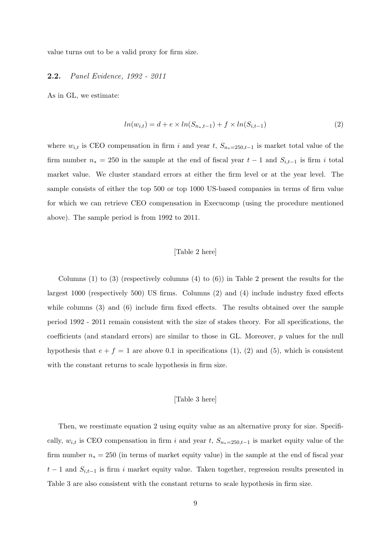value turns out to be a valid proxy for firm size.

### 2.2. Panel Evidence, 1992 - 2011

As in GL, we estimate:

$$
ln(w_{i,t}) = d + e \times ln(S_{n_*,t-1}) + f \times ln(S_{i,t-1})
$$
\n(2)

where  $w_{i,t}$  is CEO compensation in firm i and year t,  $S_{n_*}=250,t-1$  is market total value of the firm number  $n_* = 250$  in the sample at the end of fiscal year  $t-1$  and  $S_{i,t-1}$  is firm i total market value. We cluster standard errors at either the firm level or at the year level. The sample consists of either the top 500 or top 1000 US-based companies in terms of firm value for which we can retrieve CEO compensation in Execucomp (using the procedure mentioned above). The sample period is from 1992 to 2011.

## [Table 2 here]

Columns  $(1)$  to  $(3)$  (respectively columns  $(4)$  to  $(6)$ ) in Table 2 present the results for the largest 1000 (respectively 500) US firms. Columns (2) and (4) include industry fixed effects while columns (3) and (6) include firm fixed effects. The results obtained over the sample period 1992 - 2011 remain consistent with the size of stakes theory. For all specifications, the coefficients (and standard errors) are similar to those in GL. Moreover, p values for the null hypothesis that  $e + f = 1$  are above 0.1 in specifications (1), (2) and (5), which is consistent with the constant returns to scale hypothesis in firm size.

## [Table 3 here]

Then, we reestimate equation 2 using equity value as an alternative proxy for size. Specifically,  $w_{i,t}$  is CEO compensation in firm i and year t,  $S_{n_*}=250,t-1$  is market equity value of the firm number  $n_* = 250$  (in terms of market equity value) in the sample at the end of fiscal year  $t-1$  and  $S_{i,t-1}$  is firm i market equity value. Taken together, regression results presented in Table 3 are also consistent with the constant returns to scale hypothesis in firm size.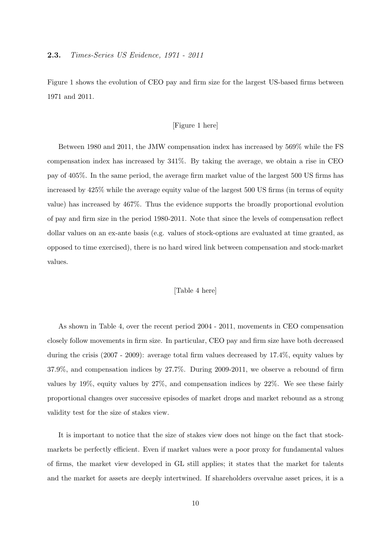Figure 1 shows the evolution of CEO pay and firm size for the largest US-based firms between 1971 and 2011.

## [Figure 1 here]

Between 1980 and 2011, the JMW compensation index has increased by 569% while the FS compensation index has increased by 341%. By taking the average, we obtain a rise in CEO pay of 405%. In the same period, the average firm market value of the largest 500 US firms has increased by 425% while the average equity value of the largest 500 US firms (in terms of equity value) has increased by 467%. Thus the evidence supports the broadly proportional evolution of pay and firm size in the period 1980-2011. Note that since the levels of compensation reflect dollar values on an ex-ante basis (e.g. values of stock-options are evaluated at time granted, as opposed to time exercised), there is no hard wired link between compensation and stock-market values.

## [Table 4 here]

As shown in Table 4, over the recent period 2004 - 2011, movements in CEO compensation closely follow movements in firm size. In particular, CEO pay and firm size have both decreased during the crisis (2007 - 2009): average total firm values decreased by 17.4%, equity values by 37.9%, and compensation indices by 27.7%. During 2009-2011, we observe a rebound of firm values by 19%, equity values by 27%, and compensation indices by 22%. We see these fairly proportional changes over successive episodes of market drops and market rebound as a strong validity test for the size of stakes view.

It is important to notice that the size of stakes view does not hinge on the fact that stockmarkets be perfectly efficient. Even if market values were a poor proxy for fundamental values of firms, the market view developed in GL still applies; it states that the market for talents and the market for assets are deeply intertwined. If shareholders overvalue asset prices, it is a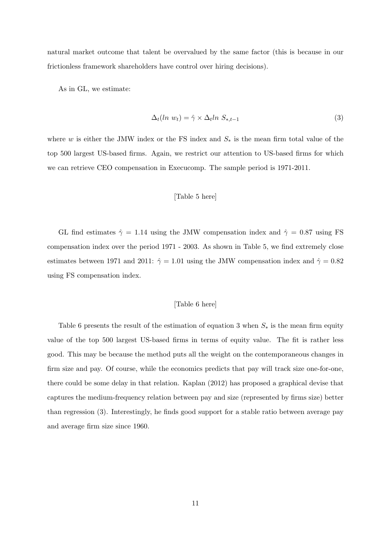natural market outcome that talent be overvalued by the same factor (this is because in our frictionless framework shareholders have control over hiring decisions).

As in GL, we estimate:

$$
\Delta_t(\ln w_t) = \hat{\gamma} \times \Delta_t \ln S_{*,t-1} \tag{3}
$$

where w is either the JMW index or the FS index and  $S_*$  is the mean firm total value of the top 500 largest US-based firms. Again, we restrict our attention to US-based firms for which we can retrieve CEO compensation in Execucomp. The sample period is 1971-2011.

### [Table 5 here]

GL find estimates  $\hat{\gamma} = 1.14$  using the JMW compensation index and  $\hat{\gamma} = 0.87$  using FS compensation index over the period 1971 - 2003. As shown in Table 5, we find extremely close estimates between 1971 and 2011:  $\hat{\gamma} = 1.01$  using the JMW compensation index and  $\hat{\gamma} = 0.82$ using FS compensation index.

#### [Table 6 here]

Table 6 presents the result of the estimation of equation 3 when  $S_*$  is the mean firm equity value of the top 500 largest US-based firms in terms of equity value. The fit is rather less good. This may be because the method puts all the weight on the contemporaneous changes in firm size and pay. Of course, while the economics predicts that pay will track size one-for-one, there could be some delay in that relation. Kaplan (2012) has proposed a graphical devise that captures the medium-frequency relation between pay and size (represented by firms size) better than regression (3). Interestingly, he finds good support for a stable ratio between average pay and average firm size since 1960.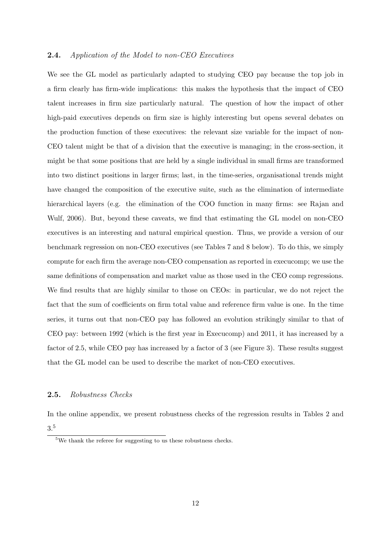#### **2.4.** Application of the Model to non-CEO Executives

We see the GL model as particularly adapted to studying CEO pay because the top job in a firm clearly has firm-wide implications: this makes the hypothesis that the impact of CEO talent increases in firm size particularly natural. The question of how the impact of other high-paid executives depends on firm size is highly interesting but opens several debates on the production function of these executives: the relevant size variable for the impact of non-CEO talent might be that of a division that the executive is managing; in the cross-section, it might be that some positions that are held by a single individual in small firms are transformed into two distinct positions in larger firms; last, in the time-series, organisational trends might have changed the composition of the executive suite, such as the elimination of intermediate hierarchical layers (e.g. the elimination of the COO function in many firms: see Rajan and Wulf, 2006). But, beyond these caveats, we find that estimating the GL model on non-CEO executives is an interesting and natural empirical question. Thus, we provide a version of our benchmark regression on non-CEO executives (see Tables 7 and 8 below). To do this, we simply compute for each firm the average non-CEO compensation as reported in execucomp; we use the same definitions of compensation and market value as those used in the CEO comp regressions. We find results that are highly similar to those on CEOs: in particular, we do not reject the fact that the sum of coefficients on firm total value and reference firm value is one. In the time series, it turns out that non-CEO pay has followed an evolution strikingly similar to that of CEO pay: between 1992 (which is the first year in Execucomp) and 2011, it has increased by a factor of 2.5, while CEO pay has increased by a factor of 3 (see Figure 3). These results suggest that the GL model can be used to describe the market of non-CEO executives.

## 2.5. Robustness Checks

In the online appendix, we present robustness checks of the regression results in Tables 2 and 3.<sup>5</sup>

 $5$ We thank the referee for suggesting to us these robustness checks.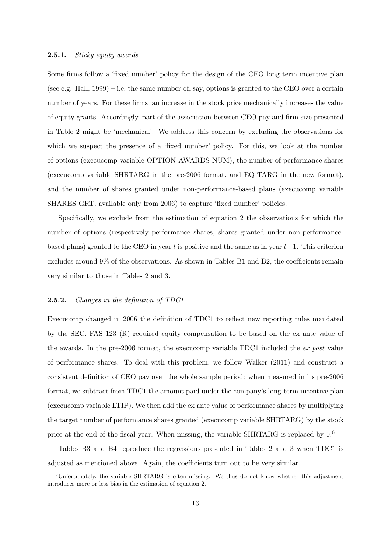#### 2.5.1. Sticky equity awards

Some firms follow a 'fixed number' policy for the design of the CEO long term incentive plan (see e.g. Hall,  $1999$ ) – i.e, the same number of, say, options is granted to the CEO over a certain number of years. For these firms, an increase in the stock price mechanically increases the value of equity grants. Accordingly, part of the association between CEO pay and firm size presented in Table 2 might be 'mechanical'. We address this concern by excluding the observations for which we suspect the presence of a 'fixed number' policy. For this, we look at the number of options (execucomp variable OPTION AWARDS NUM), the number of performance shares (execucomp variable SHRTARG in the pre-2006 format, and EQ TARG in the new format), and the number of shares granted under non-performance-based plans (execucomp variable SHARES GRT, available only from 2006) to capture 'fixed number' policies.

Specifically, we exclude from the estimation of equation 2 the observations for which the number of options (respectively performance shares, shares granted under non-performancebased plans) granted to the CEO in year t is positive and the same as in year  $t-1$ . This criterion excludes around 9% of the observations. As shown in Tables B1 and B2, the coefficients remain very similar to those in Tables 2 and 3.

## 2.5.2. Changes in the definition of TDC1

Execucomp changed in 2006 the definition of TDC1 to reflect new reporting rules mandated by the SEC. FAS 123 (R) required equity compensation to be based on the ex ante value of the awards. In the pre-2006 format, the execucomp variable TDC1 included the ex post value of performance shares. To deal with this problem, we follow Walker (2011) and construct a consistent definition of CEO pay over the whole sample period: when measured in its pre-2006 format, we subtract from TDC1 the amount paid under the company's long-term incentive plan (execucomp variable LTIP). We then add the ex ante value of performance shares by multiplying the target number of performance shares granted (execucomp variable SHRTARG) by the stock price at the end of the fiscal year. When missing, the variable SHRTARG is replaced by  $0.6$ 

Tables B3 and B4 reproduce the regressions presented in Tables 2 and 3 when TDC1 is adjusted as mentioned above. Again, the coefficients turn out to be very similar.

<sup>6</sup>Unfortunately, the variable SHRTARG is often missing. We thus do not know whether this adjustment introduces more or less bias in the estimation of equation 2.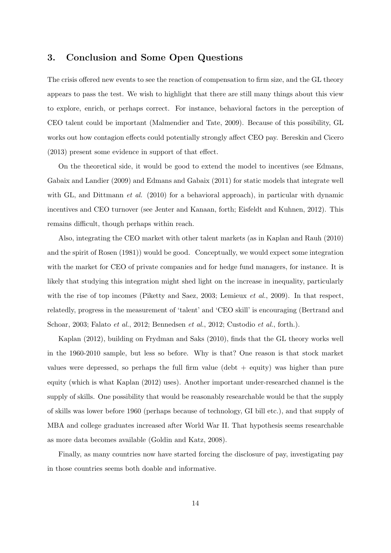## 3. Conclusion and Some Open Questions

The crisis offered new events to see the reaction of compensation to firm size, and the GL theory appears to pass the test. We wish to highlight that there are still many things about this view to explore, enrich, or perhaps correct. For instance, behavioral factors in the perception of CEO talent could be important (Malmendier and Tate, 2009). Because of this possibility, GL works out how contagion effects could potentially strongly affect CEO pay. Bereskin and Cicero (2013) present some evidence in support of that effect.

On the theoretical side, it would be good to extend the model to incentives (see Edmans, Gabaix and Landier (2009) and Edmans and Gabaix (2011) for static models that integrate well with GL, and Dittmann *et al.* (2010) for a behavioral approach), in particular with dynamic incentives and CEO turnover (see Jenter and Kanaan, forth; Eisfeldt and Kuhnen, 2012). This remains difficult, though perhaps within reach.

Also, integrating the CEO market with other talent markets (as in Kaplan and Rauh (2010) and the spirit of Rosen (1981)) would be good. Conceptually, we would expect some integration with the market for CEO of private companies and for hedge fund managers, for instance. It is likely that studying this integration might shed light on the increase in inequality, particularly with the rise of top incomes (Piketty and Saez, 2003; Lemieux *et al.*, 2009). In that respect, relatedly, progress in the measurement of 'talent' and 'CEO skill' is encouraging (Bertrand and Schoar, 2003; Falato et al., 2012; Bennedsen et al., 2012; Custodio et al., forth.).

Kaplan (2012), building on Frydman and Saks (2010), finds that the GL theory works well in the 1960-2010 sample, but less so before. Why is that? One reason is that stock market values were depressed, so perhaps the full firm value (debt  $+$  equity) was higher than pure equity (which is what Kaplan (2012) uses). Another important under-researched channel is the supply of skills. One possibility that would be reasonably researchable would be that the supply of skills was lower before 1960 (perhaps because of technology, GI bill etc.), and that supply of MBA and college graduates increased after World War II. That hypothesis seems researchable as more data becomes available (Goldin and Katz, 2008).

Finally, as many countries now have started forcing the disclosure of pay, investigating pay in those countries seems both doable and informative.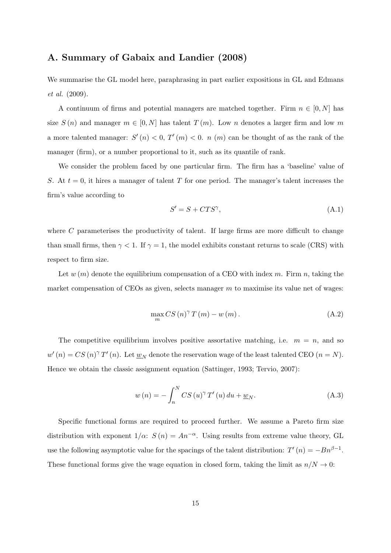## A. Summary of Gabaix and Landier (2008)

We summarise the GL model here, paraphrasing in part earlier expositions in GL and Edmans et al. (2009).

A continuum of firms and potential managers are matched together. Firm  $n \in [0, N]$  has size  $S(n)$  and manager  $m \in [0, N]$  has talent  $T(m)$ . Low n denotes a larger firm and low m a more talented manager:  $S'(n) < 0$ ,  $T'(m) < 0$ .  $n(m)$  can be thought of as the rank of the manager (firm), or a number proportional to it, such as its quantile of rank.

We consider the problem faced by one particular firm. The firm has a 'baseline' value of S. At  $t = 0$ , it hires a manager of talent T for one period. The manager's talent increases the firm's value according to

$$
S' = S + CTS^{\gamma},\tag{A.1}
$$

where  $C$  parameterises the productivity of talent. If large firms are more difficult to change than small firms, then  $\gamma < 1$ . If  $\gamma = 1$ , the model exhibits constant returns to scale (CRS) with respect to firm size.

Let  $w(m)$  denote the equilibrium compensation of a CEO with index m. Firm n, taking the market compensation of CEOs as given, selects manager  $m$  to maximise its value net of wages:

$$
\max_{m} CS\left(n\right)^{\gamma} T\left(m\right) - w\left(m\right). \tag{A.2}
$$

The competitive equilibrium involves positive assortative matching, i.e.  $m = n$ , and so  $w'(n) = CS(n)^{\gamma} T'(n)$ . Let  $\underline{w}_N$  denote the reservation wage of the least talented CEO  $(n = N)$ . Hence we obtain the classic assignment equation (Sattinger, 1993; Tervio, 2007):

$$
w(n) = -\int_{n}^{N} CS(u)^{\gamma} T'(u) du + \underline{w}_{N}.
$$
 (A.3)

Specific functional forms are required to proceed further. We assume a Pareto firm size distribution with exponent  $1/\alpha$ :  $S(n) = An^{-\alpha}$ . Using results from extreme value theory, GL use the following asymptotic value for the spacings of the talent distribution:  $T'(n) = -Bn^{\beta-1}$ . These functional forms give the wage equation in closed form, taking the limit as  $n/N \to 0$ :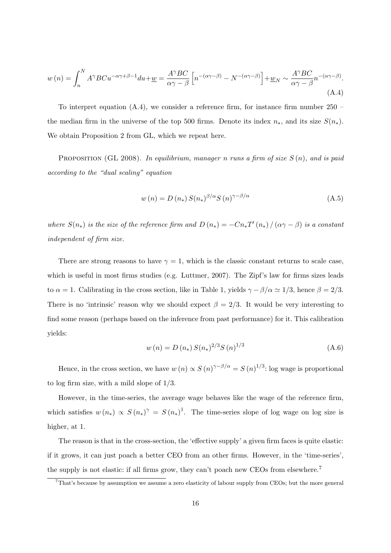$$
w(n) = \int_{n}^{N} A^{\gamma}BCu^{-\alpha\gamma+\beta-1}du + \underline{w} = \frac{A^{\gamma}BC}{\alpha\gamma-\beta} \left[ n^{-(\alpha\gamma-\beta)} - N^{-(\alpha\gamma-\beta)} \right] + \underline{w}_{N} \sim \frac{A^{\gamma}BC}{\alpha\gamma-\beta} n^{-(\alpha\gamma-\beta)}.
$$
\n(A.4)

To interpret equation  $(A.4)$ , we consider a reference firm, for instance firm number 250 – the median firm in the universe of the top 500 firms. Denote its index  $n_*,$  and its size  $S(n_*)$ . We obtain Proposition 2 from GL, which we repeat here.

PROPOSITION (GL 2008). In equilibrium, manager n runs a firm of size  $S(n)$ , and is paid according to the "dual scaling" equation

$$
w(n) = D(n_*) S(n_*)^{\beta/\alpha} S(n)^{\gamma-\beta/\alpha}
$$
\n(A.5)

where  $S(n_*)$  is the size of the reference firm and  $D(n_*) = -Cn_*T'(n_*)/(\alpha \gamma - \beta)$  is a constant independent of firm size.

There are strong reasons to have  $\gamma = 1$ , which is the classic constant returns to scale case, which is useful in most firms studies (e.g. Luttmer, 2007). The Zipf's law for firms sizes leads to  $\alpha = 1$ . Calibrating in the cross section, like in Table 1, yields  $\gamma - \beta/\alpha \simeq 1/3$ , hence  $\beta = 2/3$ . There is no 'intrinsic' reason why we should expect  $\beta = 2/3$ . It would be very interesting to find some reason (perhaps based on the inference from past performance) for it. This calibration yields:

$$
w(n) = D(n_*) S(n_*)^{2/3} S(n)^{1/3}
$$
 (A.6)

Hence, in the cross section, we have  $w(n) \propto S(n)^{\gamma-\beta/\alpha} = S(n)^{1/3}$ : log wage is proportional to log firm size, with a mild slope of 1/3.

However, in the time-series, the average wage behaves like the wage of the reference firm, which satisfies  $w(n_*) \propto S(n_*)^{\gamma} = S(n_*)^{\gamma}$ . The time-series slope of log wage on log size is higher, at 1.

The reason is that in the cross-section, the 'effective supply' a given firm faces is quite elastic: if it grows, it can just poach a better CEO from an other firms. However, in the 'time-series', the supply is not elastic: if all firms grow, they can't poach new CEOs from elsewhere.<sup>7</sup>

 $7$ That's because by assumption we assume a zero elasticity of labour supply from CEOs; but the more general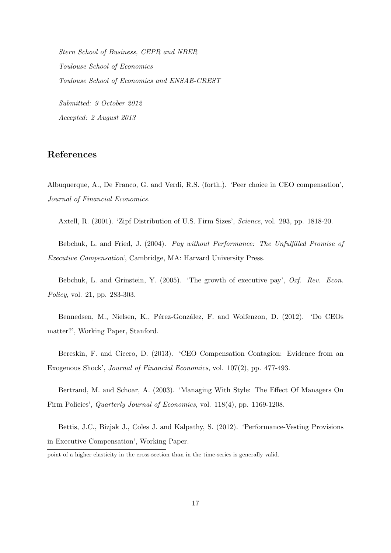Stern School of Business, CEPR and NBER Toulouse School of Economics Toulouse School of Economics and ENSAE-CREST Submitted: 9 October 2012 Accepted: 2 August 2013

## References

Albuquerque, A., De Franco, G. and Verdi, R.S. (forth.). 'Peer choice in CEO compensation', Journal of Financial Economics.

Axtell, R. (2001). 'Zipf Distribution of U.S. Firm Sizes', Science, vol. 293, pp. 1818-20.

Bebchuk, L. and Fried, J. (2004). Pay without Performance: The Unfulfilled Promise of Executive Compensation', Cambridge, MA: Harvard University Press.

Bebchuk, L. and Grinstein, Y. (2005). 'The growth of executive pay', Oxf. Rev. Econ. Policy, vol. 21, pp. 283-303.

Bennedsen, M., Nielsen, K., Pérez-González, F. and Wolfenzon, D. (2012). 'Do CEOs matter?', Working Paper, Stanford.

Bereskin, F. and Cicero, D. (2013). 'CEO Compensation Contagion: Evidence from an Exogenous Shock', Journal of Financial Economics, vol. 107(2), pp. 477-493.

Bertrand, M. and Schoar, A. (2003). 'Managing With Style: The Effect Of Managers On Firm Policies', Quarterly Journal of Economics, vol. 118(4), pp. 1169-1208.

Bettis, J.C., Bizjak J., Coles J. and Kalpathy, S. (2012). 'Performance-Vesting Provisions in Executive Compensation', Working Paper.

point of a higher elasticity in the cross-section than in the time-series is generally valid.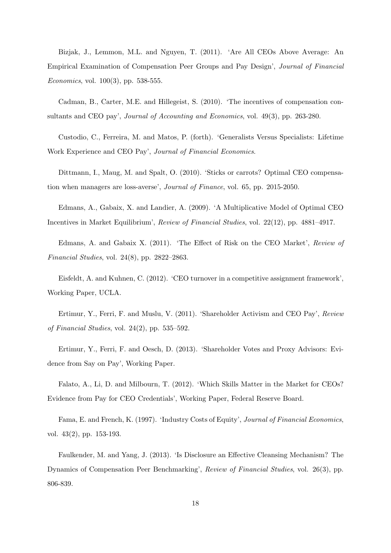Bizjak, J., Lemmon, M.L. and Nguyen, T. (2011). 'Are All CEOs Above Average: An Empirical Examination of Compensation Peer Groups and Pay Design', Journal of Financial Economics, vol. 100(3), pp. 538-555.

Cadman, B., Carter, M.E. and Hillegeist, S. (2010). 'The incentives of compensation consultants and CEO pay', Journal of Accounting and Economics, vol. 49(3), pp. 263-280.

Custodio, C., Ferreira, M. and Matos, P. (forth). 'Generalists Versus Specialists: Lifetime Work Experience and CEO Pay', Journal of Financial Economics.

Dittmann, I., Maug, M. and Spalt, O. (2010). 'Sticks or carrots? Optimal CEO compensation when managers are loss-averse', Journal of Finance, vol. 65, pp. 2015-2050.

Edmans, A., Gabaix, X. and Landier, A. (2009). 'A Multiplicative Model of Optimal CEO Incentives in Market Equilibrium', Review of Financial Studies, vol. 22(12), pp. 4881–4917.

Edmans, A. and Gabaix X. (2011). 'The Effect of Risk on the CEO Market', Review of Financial Studies, vol. 24(8), pp. 2822–2863.

Eisfeldt, A. and Kuhnen, C. (2012). 'CEO turnover in a competitive assignment framework', Working Paper, UCLA.

Ertimur, Y., Ferri, F. and Muslu, V. (2011). 'Shareholder Activism and CEO Pay', Review of Financial Studies, vol. 24(2), pp. 535–592.

Ertimur, Y., Ferri, F. and Oesch, D. (2013). 'Shareholder Votes and Proxy Advisors: Evidence from Say on Pay', Working Paper.

Falato, A., Li, D. and Milbourn, T. (2012). 'Which Skills Matter in the Market for CEOs? Evidence from Pay for CEO Credentials', Working Paper, Federal Reserve Board.

Fama, E. and French, K. (1997). 'Industry Costs of Equity', Journal of Financial Economics, vol. 43(2), pp. 153-193.

Faulkender, M. and Yang, J. (2013). 'Is Disclosure an Effective Cleansing Mechanism? The Dynamics of Compensation Peer Benchmarking', Review of Financial Studies, vol. 26(3), pp. 806-839.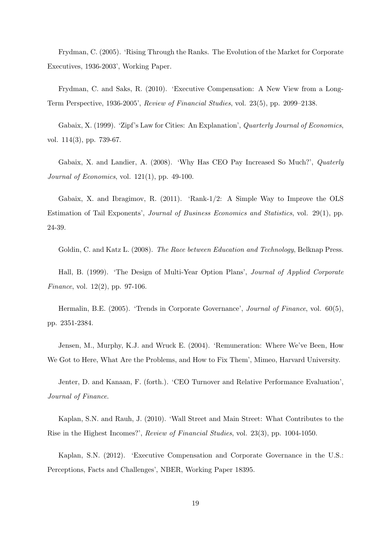Frydman, C. (2005). 'Rising Through the Ranks. The Evolution of the Market for Corporate Executives, 1936-2003', Working Paper.

Frydman, C. and Saks, R. (2010). 'Executive Compensation: A New View from a Long-Term Perspective, 1936-2005', Review of Financial Studies, vol. 23(5), pp. 2099–2138.

Gabaix, X. (1999). 'Zipf's Law for Cities: An Explanation', Quarterly Journal of Economics, vol. 114(3), pp. 739-67.

Gabaix, X. and Landier, A. (2008). 'Why Has CEO Pay Increased So Much?', Quaterly Journal of Economics, vol.  $121(1)$ , pp. 49-100.

Gabaix, X. and Ibragimov, R. (2011). 'Rank-1/2: A Simple Way to Improve the OLS Estimation of Tail Exponents', Journal of Business Economics and Statistics, vol. 29(1), pp. 24-39.

Goldin, C. and Katz L. (2008). The Race between Education and Technology, Belknap Press.

Hall, B. (1999). 'The Design of Multi-Year Option Plans', Journal of Applied Corporate Finance, vol. 12(2), pp. 97-106.

Hermalin, B.E. (2005). 'Trends in Corporate Governance', *Journal of Finance*, vol. 60(5), pp. 2351-2384.

Jensen, M., Murphy, K.J. and Wruck E. (2004). 'Remuneration: Where We've Been, How We Got to Here, What Are the Problems, and How to Fix Them', Mimeo, Harvard University.

Jenter, D. and Kanaan, F. (forth.). 'CEO Turnover and Relative Performance Evaluation', Journal of Finance.

Kaplan, S.N. and Rauh, J. (2010). 'Wall Street and Main Street: What Contributes to the Rise in the Highest Incomes?', Review of Financial Studies, vol. 23(3), pp. 1004-1050.

Kaplan, S.N. (2012). 'Executive Compensation and Corporate Governance in the U.S.: Perceptions, Facts and Challenges', NBER, Working Paper 18395.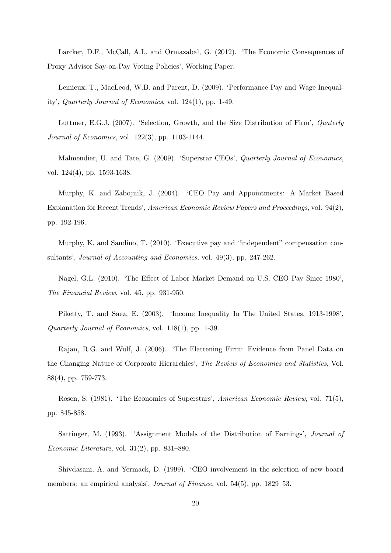Larcker, D.F., McCall, A.L. and Ormazabal, G. (2012). 'The Economic Consequences of Proxy Advisor Say-on-Pay Voting Policies', Working Paper.

Lemieux, T., MacLeod, W.B. and Parent, D. (2009). 'Performance Pay and Wage Inequality', Quarterly Journal of Economics, vol. 124(1), pp. 1-49.

Luttmer, E.G.J. (2007). 'Selection, Growth, and the Size Distribution of Firm', *Quaterly* Journal of Economics, vol. 122(3), pp. 1103-1144.

Malmendier, U. and Tate, G. (2009). 'Superstar CEOs', Quarterly Journal of Economics, vol. 124(4), pp. 1593-1638.

Murphy, K. and Zabojnik, J. (2004). 'CEO Pay and Appointments: A Market Based Explanation for Recent Trends', American Economic Review Papers and Proceedings, vol. 94(2), pp. 192-196.

Murphy, K. and Sandino, T. (2010). 'Executive pay and "independent" compensation consultants', Journal of Accounting and Economics, vol. 49(3), pp. 247-262.

Nagel, G.L. (2010). 'The Effect of Labor Market Demand on U.S. CEO Pay Since 1980', The Financial Review, vol. 45, pp. 931-950.

Piketty, T. and Saez, E. (2003). 'Income Inequality In The United States, 1913-1998', Quarterly Journal of Economics, vol. 118(1), pp. 1-39.

Rajan, R.G. and Wulf, J. (2006). 'The Flattening Firm: Evidence from Panel Data on the Changing Nature of Corporate Hierarchies', The Review of Economics and Statistics, Vol. 88(4), pp. 759-773.

Rosen, S. (1981). 'The Economics of Superstars', American Economic Review, vol. 71(5), pp. 845-858.

Sattinger, M. (1993). 'Assignment Models of the Distribution of Earnings', Journal of Economic Literature, vol.  $31(2)$ , pp.  $831-880$ .

Shivdasani, A. and Yermack, D. (1999). 'CEO involvement in the selection of new board members: an empirical analysis', *Journal of Finance*, vol. 54(5), pp. 1829–53.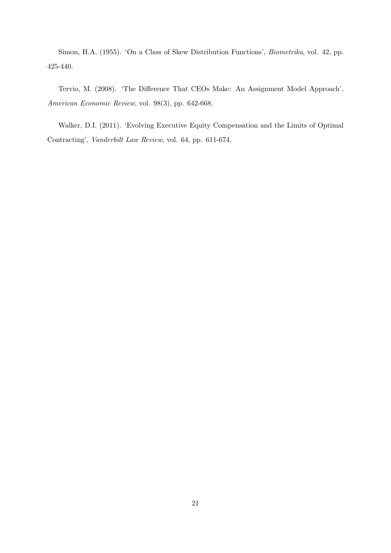Simon, H.A. (1955). 'On a Class of Skew Distribution Functions', Biometrika, vol. 42, pp. 425-440.

Tervio, M. (2008). 'The Difference That CEOs Make: An Assignment Model Approach', American Economic Review, vol. 98(3), pp. 642-668.

Walker, D.I. (2011). 'Evolving Executive Equity Compensation and the Limits of Optimal Contracting', Vanderbilt Law Review, vol. 64, pp. 611-674.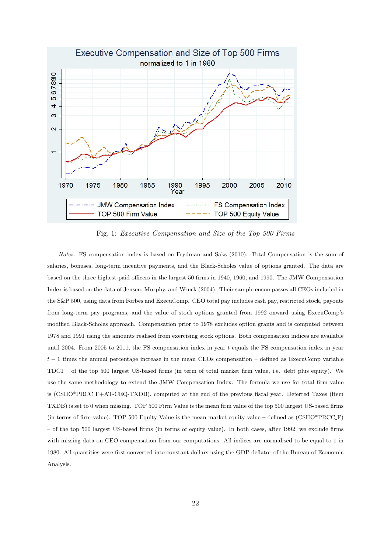

Fig. 1: Executive Compensation and Size of the Top 500 Firms

Notes. FS compensation index is based on Frydman and Saks (2010). Total Compensation is the sum of salaries, bonuses, long-term incentive payments, and the Black-Scholes value of options granted. The data are based on the three highest-paid officers in the largest 50 firms in 1940, 1960, and 1990. The JMW Compensation Index is based on the data of Jensen, Murphy, and Wruck (2004). Their sample encompasses all CEOs included in the S&P 500, using data from Forbes and ExecuComp. CEO total pay includes cash pay, restricted stock, payouts from long-term pay programs, and the value of stock options granted from 1992 onward using ExecuComp's modified Black-Scholes approach. Compensation prior to 1978 excludes option grants and is computed between 1978 and 1991 using the amounts realised from exercising stock options. Both compensation indices are available until 2004. From 2005 to 2011, the FS compensation index in year t equals the FS compensation index in year  $t-1$  times the annual percentage increase in the mean CEOs compensation – defined as ExecuComp variable TDC1 – of the top 500 largest US-based firms (in term of total market firm value, i.e. debt plus equity). We use the same methodology to extend the JMW Compensation Index. The formula we use for total firm value is (CSHO\*PRCC F+AT-CEQ-TXDB), computed at the end of the previous fiscal year. Deferred Taxes (item TXDB) is set to 0 when missing. TOP 500 Firm Value is the mean firm value of the top 500 largest US-based firms (in terms of firm value). TOP 500 Equity Value is the mean market equity value – defined as (CSHO\*PRCC F) – of the top 500 largest US-based firms (in terms of equity value). In both cases, after 1992, we exclude firms with missing data on CEO compensation from our computations. All indices are normalised to be equal to 1 in 1980. All quantities were first converted into constant dollars using the GDP deflator of the Bureau of Economic Analysis.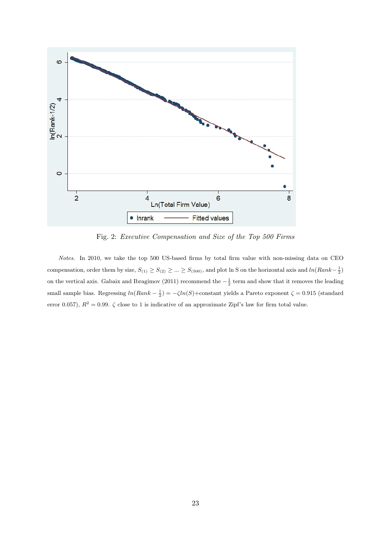

Fig. 2: Executive Compensation and Size of the Top 500 Firms

Notes. In 2010, we take the top 500 US-based firms by total firm value with non-missing data on CEO compensation, order them by size,  $S_{(1)} \geq S_{(2)} \geq ... \geq S_{(500)}$ , and plot ln S on the horizontal axis and  $ln(Rank-\frac{1}{2})$ on the vertical axis. Gabaix and Ibragimov (2011) recommend the  $-\frac{1}{2}$  term and show that it removes the leading small sample bias. Regressing  $ln(Rank - \frac{1}{2}) = -\zeta ln(S) + \text{constant}$  yields a Pareto exponent  $\zeta = 0.915$  (standard error 0.057),  $R^2 = 0.99$ .  $\zeta$  close to 1 is indicative of an approximate Zipf's law for firm total value.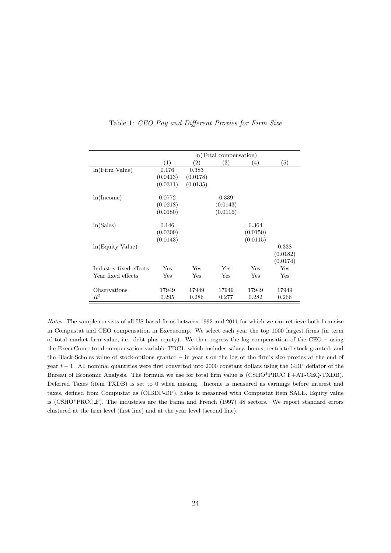|                        |          |                   | $ln(Total$ compensation) |                   |          |
|------------------------|----------|-------------------|--------------------------|-------------------|----------|
|                        | (1)      | $\left( 2\right)$ | (3)                      | $\left( 4\right)$ | (5)      |
| ln(Firm Value)         | 0.176    | 0.383             |                          |                   |          |
|                        | (0.0413) | (0.0178)          |                          |                   |          |
|                        | (0.0311) | (0.0135)          |                          |                   |          |
|                        |          |                   |                          |                   |          |
| ln(Income)             | 0.0772   |                   | 0.339                    |                   |          |
|                        | (0.0218) |                   | (0.0143)                 |                   |          |
|                        | (0.0180) |                   | (0.0116)                 |                   |          |
|                        |          |                   |                          |                   |          |
| ln(Sales)              | 0.146    |                   |                          | 0.364             |          |
|                        | (0.0309) |                   |                          | (0.0150)          |          |
|                        | (0.0143) |                   |                          | (0.0115)          |          |
| ln(Equity Value)       |          |                   |                          |                   | 0.338    |
|                        |          |                   |                          |                   | (0.0182) |
|                        |          |                   |                          |                   | (0.0174) |
| Industry fixed effects | Yes      | Yes               | Yes                      | Yes               | Yes      |
| Year fixed effects     | Yes      | Yes               | Yes                      | Yes               | Yes      |
|                        |          |                   |                          |                   |          |
| Observations           | 17949    | 17949             | 17949                    | 17949             | 17949    |
| $R^2$                  | 0.295    | 0.286             | 0.277                    | 0.282             | 0.266    |

Table 1: CEO Pay and Different Proxies for Firm Size

Notes. The sample consists of all US-based firms between 1992 and 2011 for which we can retrieve both firm size in Compustat and CEO compensation in Execucomp. We select each year the top 1000 largest firms (in term of total market firm value, i.e. debt plus equity). We then regress the log compensation of the CEO – using the ExecuComp total compensation variable TDC1, which includes salary, bonus, restricted stock granted, and the Black-Scholes value of stock-options granted – in year  $t$  on the log of the firm's size proxies at the end of year  $t-1$ . All nominal quantities were first converted into 2000 constant dollars using the GDP deflator of the Bureau of Economic Analysis. The formula we use for total firm value is (CSHO\*PRCC F+AT-CEQ-TXDB). Deferred Taxes (item TXDB) is set to 0 when missing. Income is measured as earnings before interest and taxes, defined from Compustat as (OIBDP-DP). Sales is measured with Compustat item SALE. Equity value is (CSHO\*PRCC F). The industries are the Fama and French (1997) 48 sectors. We report standard errors clustered at the firm level (first line) and at the year level (second line).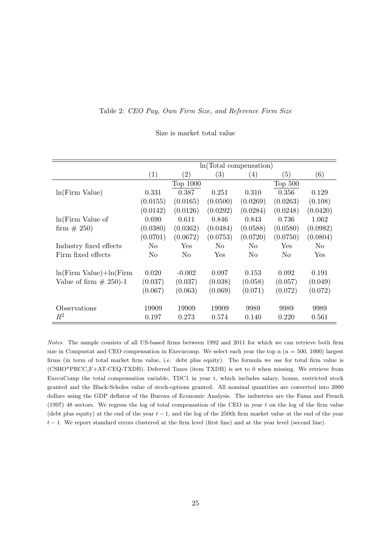## Table 2: CEO Pay, Own Firm Size, and Reference Firm Size

|                             |          |                   | $ln(Total$ compensation) |                |           |                |
|-----------------------------|----------|-------------------|--------------------------|----------------|-----------|----------------|
|                             | (1)      | $\left( 2\right)$ | (3)                      | (4)            | (5)       | (6)            |
|                             |          | Top 1000          |                          |                | Top $500$ |                |
| ln(Firm Value)              | 0.331    | 0.387             | 0.251                    | 0.310          | 0.356     | 0.129          |
|                             | (0.0155) | (0.0165)          | (0.0500)                 | (0.0269)       | (0.0263)  | (0.108)        |
|                             | (0.0142) | (0.0126)          | (0.0292)                 | (0.0284)       | (0.0248)  | (0.0420)       |
| $ln(Firm$ Value of          | 0.690    | 0.611             | 0.846                    | 0.843          | 0.736     | 1.062          |
| firm $# 250$                | (0.0380) | (0.0362)          | (0.0484)                 | (0.0588)       | (0.0580)  | (0.0982)       |
|                             | (0.0701) | (0.0672)          | (0.0753)                 | (0.0720)       | (0.0750)  | (0.0804)       |
| Industry fixed effects      | No       | Yes               | N <sub>0</sub>           | N <sub>0</sub> | Yes       | N <sub>0</sub> |
| Firm fixed effects          | No.      | No                | Yes                      | N <sub>0</sub> | No        | <b>Yes</b>     |
|                             |          |                   |                          |                |           |                |
| $ln(Firm Value) + ln(Firm)$ | 0.020    | $-0.002$          | 0.097                    | 0.153          | 0.092     | 0.191          |
| Value of firm $# 250$ -1    | (0.037)  | (0.037)           | (0.038)                  | (0.058)        | (0.057)   | (0.049)        |
|                             | (0.067)  | (0.063)           | (0.069)                  | (0.071)        | (0.072)   | (0.072)        |
|                             |          |                   |                          |                |           |                |
| Observations                | 19909    | 19909             | 19909                    | 9989           | 9989      | 9989           |
| $\,R^2$                     | 0.197    | 0.273             | 0.574                    | 0.140          | 0.220     | 0.561          |

#### Size is market total value

Notes. The sample consists of all US-based firms between 1992 and 2011 for which we can retrieve both firm size in Compustat and CEO compensation in Execucomp. We select each year the top  $n (n = 500, 1000)$  largest firms (in term of total market firm value, i.e. debt plus equity). The formula we use for total firm value is (CSHO\*PRCC F+AT-CEQ-TXDB). Deferred Taxes (item TXDB) is set to 0 when missing. We retrieve from ExecuComp the total compensation variable, TDC1 in year t, which includes salary, bonus, restricted stock granted and the Black-Scholes value of stock-options granted. All nominal quantities are converted into 2000 dollars using the GDP deflator of the Bureau of Economic Analysis. The industries are the Fama and French (1997) 48 sectors. We regress the log of total compensation of the CEO in year  $t$  on the log of the firm value (debt plus equity) at the end of the year  $t - 1$ , and the log of the 250th firm market value at the end of the year  $t-1$ . We report standard errors clustered at the firm level (first line) and at the year level (second line).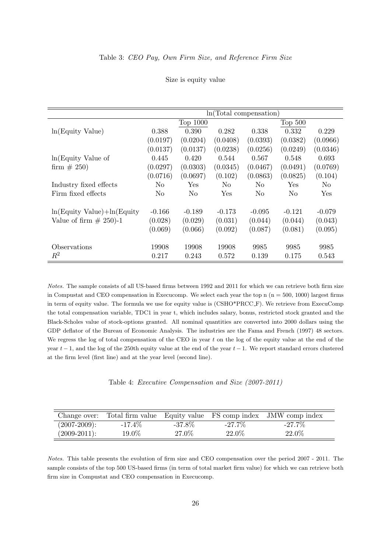|                                 | $ln(Total$ compensation) |                 |                |                |                |          |  |  |
|---------------------------------|--------------------------|-----------------|----------------|----------------|----------------|----------|--|--|
|                                 |                          | <b>Top 1000</b> |                | Top $500$      |                |          |  |  |
| ln(Equity Value)                | 0.388                    | 0.390           | 0.282          | 0.338          | 0.332          | 0.229    |  |  |
|                                 | (0.0197)                 | (0.0204)        | (0.0408)       | (0.0393)       | (0.0382)       | (0.0966) |  |  |
|                                 | (0.0137)                 | (0.0137)        | (0.0238)       | (0.0256)       | (0.0249)       | (0.0346) |  |  |
| $ln(E$ quity Value of           | 0.445                    | 0.420           | 0.544          | 0.567          | 0.548          | 0.693    |  |  |
| firm $# 250$                    | (0.0297)                 | (0.0303)        | (0.0345)       | (0.0467)       | (0.0491)       | (0.0769) |  |  |
|                                 | (0.0716)                 | (0.0697)        | (0.102)        | (0.0863)       | (0.0825)       | (0.104)  |  |  |
| Industry fixed effects          | No.                      | Yes             | N <sub>0</sub> | N <sub>0</sub> | Yes            | No.      |  |  |
| Firm fixed effects              | N <sub>0</sub>           | No.             | Yes            | N <sub>0</sub> | N <sub>0</sub> | Yes.     |  |  |
| $ln(Equity Value) + ln(Equity)$ | $-0.166$                 | $-0.189$        | $-0.173$       | $-0.095$       | $-0.121$       | $-0.079$ |  |  |
|                                 |                          |                 |                |                |                |          |  |  |
| Value of firm $\# 250$ )-1      | (0.028)                  | (0.029)         | (0.031)        | (0.044)        | (0.044)        | (0.043)  |  |  |
|                                 | (0.069)                  | (0.066)         | (0.092)        | (0.087)        | (0.081)        | (0.095)  |  |  |
| Observations                    | 19908                    | 19908           | 19908          | 9985           | 9985           | 9985     |  |  |
| $R^2$                           | 0.217                    | 0.243           | 0.572          | 0.139          | 0.175          | 0.543    |  |  |

### Size is equity value

Notes. The sample consists of all US-based firms between 1992 and 2011 for which we can retrieve both firm size in Compustat and CEO compensation in Execucomp. We select each year the top  $n (n = 500, 1000)$  largest firms in term of equity value. The formula we use for equity value is (CSHO\*PRCC F). We retrieve from ExecuComp the total compensation variable, TDC1 in year t, which includes salary, bonus, restricted stock granted and the Black-Scholes value of stock-options granted. All nominal quantities are converted into 2000 dollars using the GDP deflator of the Bureau of Economic Analysis. The industries are the Fama and French (1997) 48 sectors. We regress the log of total compensation of the CEO in year  $t$  on the log of the equity value at the end of the year  $t-1$ , and the log of the 250th equity value at the end of the year  $t-1$ . We report standard errors clustered at the firm level (first line) and at the year level (second line).

Table 4: Executive Compensation and Size (2007-2011)

|                 |            |           |           | Change over: Total firm value Equity value FS comp index JMW comp index |
|-----------------|------------|-----------|-----------|-------------------------------------------------------------------------|
| $(2007-2009)$ : | -17.4 $\%$ | $-37.8\%$ | $-27.7\%$ | -27.7 $\%$                                                              |
| $(2009-2011)$ : | 19.0%      | 27.0%     | 22.0\%    | 22.0\%                                                                  |

Notes. This table presents the evolution of firm size and CEO compensation over the period 2007 - 2011. The sample consists of the top 500 US-based firms (in term of total market firm value) for which we can retrieve both firm size in Compustat and CEO compensation in Execucomp.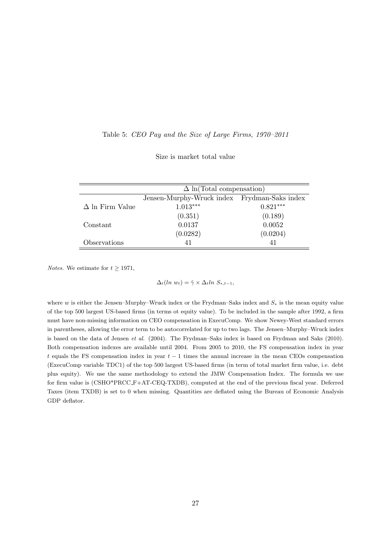#### Table 5: CEO Pay and the Size of Large Firms, 1970–2011

|                        | $\Delta$ ln(Total compensation)              |            |
|------------------------|----------------------------------------------|------------|
|                        | Jensen-Murphy-Wruck index Frydman-Saks index |            |
| $\Delta$ ln Firm Value | $1.013***$                                   | $0.821***$ |
|                        | (0.351)                                      | (0.189)    |
| Constant               | 0.0137                                       | 0.0052     |
|                        | (0.0282)                                     | (0.0204)   |
| Observations           | 41                                           | 41         |

#### Size is market total value

*Notes.* We estimate for  $t \ge 1971$ ,

 $\Delta_t(\ln w_t) = \hat{\gamma} \times \Delta_t \ln S_{*,t-1},$ 

where w is either the Jensen–Murphy–Wruck index or the Frydman–Saks index and  $S_*$  is the mean equity value of the top 500 largest US-based firms (in terms ot equity value). To be included in the sample after 1992, a firm must have non-missing information on CEO compensation in ExecuComp. We show Newey-West standard errors in parentheses, allowing the error term to be autocorrelated for up to two lags. The Jensen–Murphy–Wruck index is based on the data of Jensen et al. (2004). The Frydman–Saks index is based on Frydman and Saks (2010). Both compensation indexes are available until 2004. From 2005 to 2010, the FS compensation index in year t equals the FS compensation index in year  $t - 1$  times the annual increase in the mean CEOs compensation (ExecuComp variable TDC1) of the top 500 largest US-based firms (in term of total market firm value, i.e. debt plus equity). We use the same methodology to extend the JMW Compensation Index. The formula we use for firm value is (CSHO\*PRCC F+AT-CEQ-TXDB), computed at the end of the previous fiscal year. Deferred Taxes (item TXDB) is set to 0 when missing. Quantities are deflated using the Bureau of Economic Analysis GDP deflator.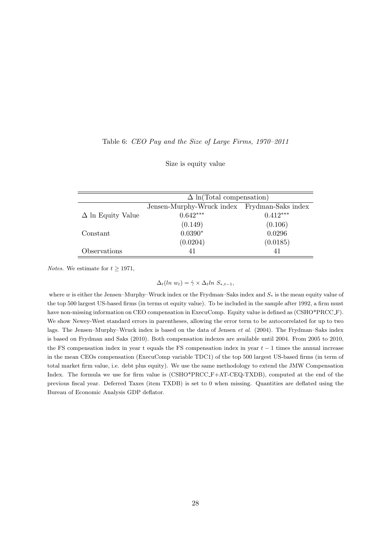#### Table 6: CEO Pay and the Size of Large Firms, 1970–2011

### Size is equity value

|                          | $\Delta$ ln(Total compensation)              |            |  |  |  |  |  |  |  |
|--------------------------|----------------------------------------------|------------|--|--|--|--|--|--|--|
|                          | Jensen-Murphy-Wruck index Frydman-Saks index |            |  |  |  |  |  |  |  |
| $\Delta$ ln Equity Value | $0.642***$                                   | $0.412***$ |  |  |  |  |  |  |  |
|                          | (0.149)                                      | (0.106)    |  |  |  |  |  |  |  |
| Constant                 | $0.0390*$                                    | 0.0296     |  |  |  |  |  |  |  |
|                          | (0.0204)                                     | (0.0185)   |  |  |  |  |  |  |  |
| Observations             | 41                                           |            |  |  |  |  |  |  |  |

*Notes.* We estimate for  $t \ge 1971$ ,

$$
\Delta_t(\ln w_t) = \hat{\gamma} \times \Delta_t \ln S_{*,t-1},
$$

where w is either the Jensen–Murphy–Wruck index or the Frydman–Saks index and S<sup>∗</sup> is the mean equity value of the top 500 largest US-based firms (in terms ot equity value). To be included in the sample after 1992, a firm must have non-missing information on CEO compensation in ExecuComp. Equity value is defined as (CSHO\*PRCC F). We show Newey-West standard errors in parentheses, allowing the error term to be autocorrelated for up to two lags. The Jensen–Murphy–Wruck index is based on the data of Jensen *et al.* (2004). The Frydman–Saks index is based on Frydman and Saks (2010). Both compensation indexes are available until 2004. From 2005 to 2010, the FS compensation index in year t equals the FS compensation index in year  $t-1$  times the annual increase in the mean CEOs compensation (ExecuComp variable TDC1) of the top 500 largest US-based firms (in term of total market firm value, i.e. debt plus equity). We use the same methodology to extend the JMW Compensation Index. The formula we use for firm value is (CSHO\*PRCC F+AT-CEQ-TXDB), computed at the end of the previous fiscal year. Deferred Taxes (item TXDB) is set to 0 when missing. Quantities are deflated using the Bureau of Economic Analysis GDP deflator.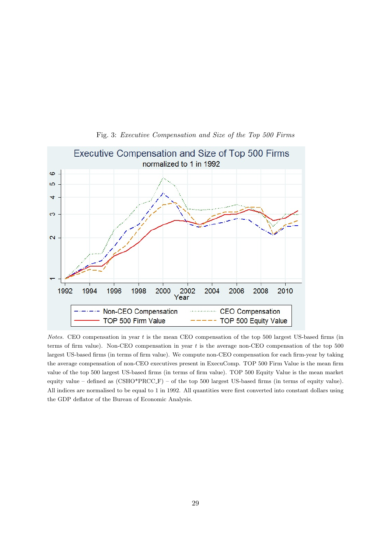

Fig. 3: Executive Compensation and Size of the Top 500 Firms

Notes. CEO compensation in year  $t$  is the mean CEO compensation of the top 500 largest US-based firms (in terms of firm value). Non-CEO compensation in year  $t$  is the average non-CEO compensation of the top  $500$ largest US-based firms (in terms of firm value). We compute non-CEO compensation for each firm-year by taking the average compensation of non-CEO executives present in ExecuComp. TOP 500 Firm Value is the mean firm value of the top 500 largest US-based firms (in terms of firm value). TOP 500 Equity Value is the mean market equity value – defined as  $(CSHO*PRCC F)$  – of the top 500 largest US-based firms (in terms of equity value). All indices are normalised to be equal to 1 in 1992. All quantities were first converted into constant dollars using the GDP deflator of the Bureau of Economic Analysis.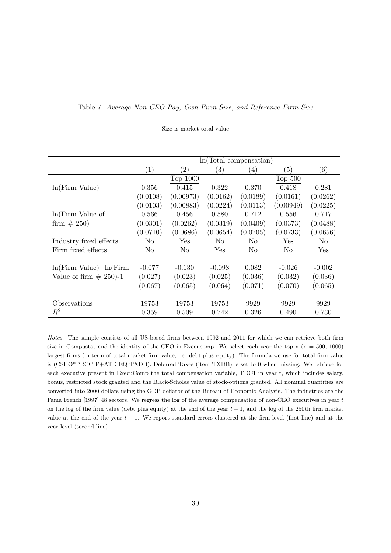#### Table 7: Average Non-CEO Pay, Own Firm Size, and Reference Firm Size

|                             |                |                   | $ln(Total$ compensation) |                |                |          |
|-----------------------------|----------------|-------------------|--------------------------|----------------|----------------|----------|
|                             | (1)            | $\left( 2\right)$ | (3)                      | (4)            | (5)            | (6)      |
|                             |                | Top 1000          |                          |                | Top $500$      |          |
| ln(Firm Value)              | 0.356          | 0.415             | 0.322                    | 0.370          | 0.418          | 0.281    |
|                             | (0.0108)       | (0.00973)         | (0.0162)                 | (0.0189)       | (0.0161)       | (0.0262) |
|                             | (0.0103)       | (0.00883)         | (0.0224)                 | (0.0113)       | (0.00949)      | (0.0225) |
| $ln(Firm$ Value of          | 0.566          | 0.456             | 0.580                    | 0.712          | 0.556          | 0.717    |
| firm $# 250$                | (0.0301)       | (0.0262)          | (0.0319)                 | (0.0409)       | (0.0373)       | (0.0488) |
|                             | (0.0710)       | (0.0686)          | (0.0654)                 | (0.0705)       | (0.0733)       | (0.0656) |
| Industry fixed effects      | No             | Yes               | No.                      | N <sub>0</sub> | <b>Yes</b>     | No       |
| Firm fixed effects          | N <sub>0</sub> | N <sub>0</sub>    | <b>Yes</b>               | N <sub>0</sub> | N <sub>o</sub> | Yes      |
|                             |                |                   |                          |                |                |          |
| $ln(Firm Value) + ln(Firm)$ | $-0.077$       | $-0.130$          | $-0.098$                 | 0.082          | $-0.026$       | $-0.002$ |
| Value of firm $\# 250$ )-1  | (0.027)        | (0.023)           | (0.025)                  | (0.036)        | (0.032)        | (0.036)  |
|                             | (0.067)        | (0.065)           | (0.064)                  | (0.071)        | (0.070)        | (0.065)  |
|                             |                |                   |                          |                |                |          |
| Observations                | 19753          | 19753             | 19753                    | 9929           | 9929           | 9929     |
| $R^2$                       | 0.359          | 0.509             | 0.742                    | 0.326          | 0.490          | 0.730    |

Size is market total value

Notes. The sample consists of all US-based firms between 1992 and 2011 for which we can retrieve both firm size in Compustat and the identity of the CEO in Execucomp. We select each year the top  $n (n = 500, 1000)$ largest firms (in term of total market firm value, i.e. debt plus equity). The formula we use for total firm value is (CSHO\*PRCC F+AT-CEQ-TXDB). Deferred Taxes (item TXDB) is set to 0 when missing. We retrieve for each executive present in ExecuComp the total compensation variable, TDC1 in year t, which includes salary, bonus, restricted stock granted and the Black-Scholes value of stock-options granted. All nominal quantities are converted into 2000 dollars using the GDP deflator of the Bureau of Economic Analysis. The industries are the Fama French [1997] 48 sectors. We regress the log of the average compensation of non-CEO executives in year t on the log of the firm value (debt plus equity) at the end of the year  $t - 1$ , and the log of the 250th firm market value at the end of the year  $t - 1$ . We report standard errors clustered at the firm level (first line) and at the year level (second line).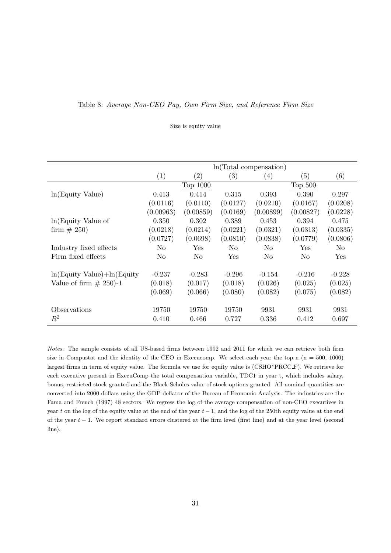#### Table 8: Average Non-CEO Pay, Own Firm Size, and Reference Firm Size

#### Size is equity value

|                                 |                   |                   |                   | In (Total compensation) |                |                      |
|---------------------------------|-------------------|-------------------|-------------------|-------------------------|----------------|----------------------|
|                                 | $\left( 1\right)$ | $\left( 2\right)$ | $\left( 3\right)$ | (4)                     | (5)            | (6)                  |
|                                 |                   | Top 1000          |                   |                         | Top $500$      |                      |
| ln(Equity Value)                | 0.413             | 0.414             | 0.315             | 0.393                   | 0.390          | 0.297                |
|                                 | (0.0116)          | (0.0110)          | (0.0127)          | (0.0210)                | (0.0167)       | (0.0208)             |
|                                 | (0.00963)         | (0.00859)         | (0.0169)          | (0.00899)               | (0.00827)      | (0.0228)             |
| $ln(Equity$ Value of            | 0.350             | 0.302             | 0.389             | 0.453                   | 0.394          | 0.475                |
| firm $# 250$                    | (0.0218)          | (0.0214)          | (0.0221)          | (0.0321)                | (0.0313)       | (0.0335)             |
|                                 | (0.0727)          | (0.0698)          | (0.0810)          | (0.0838)                | (0.0779)       | (0.0806)             |
| Industry fixed effects          | No                | Yes               | N <sub>o</sub>    | No                      | Yes            | N <sub>o</sub>       |
| Firm fixed effects              | No.               | N <sub>o</sub>    | Yes               | N <sub>o</sub>          | N <sub>o</sub> | $\operatorname{Yes}$ |
|                                 |                   |                   |                   |                         |                |                      |
| $ln(Equity Value) + ln(Equity)$ | $-0.237$          | $-0.283$          | $-0.296$          | $-0.154$                | $-0.216$       | $-0.228$             |
| Value of firm $\# 250$ )-1      | (0.018)           | (0.017)           | (0.018)           | (0.026)                 | (0.025)        | (0.025)              |
|                                 | (0.069)           | (0.066)           | (0.080)           | (0.082)                 | (0.075)        | (0.082)              |
|                                 |                   |                   |                   |                         |                |                      |
| Observations                    | 19750             | 19750             | 19750             | 9931                    | 9931           | 9931                 |
| $R^2$                           | 0.410             | 0.466             | 0.727             | 0.336                   | 0.412          | 0.697                |

Notes. The sample consists of all US-based firms between 1992 and 2011 for which we can retrieve both firm size in Compustat and the identity of the CEO in Execucomp. We select each year the top  $n (n = 500, 1000)$ largest firms in term of equity value. The formula we use for equity value is (CSHO\*PRCC F). We retrieve for each executive present in ExecuComp the total compensation variable, TDC1 in year t, which includes salary, bonus, restricted stock granted and the Black-Scholes value of stock-options granted. All nominal quantities are converted into 2000 dollars using the GDP deflator of the Bureau of Economic Analysis. The industries are the Fama and French (1997) 48 sectors. We regress the log of the average compensation of non-CEO executives in year t on the log of the equity value at the end of the year  $t - 1$ , and the log of the 250th equity value at the end of the year  $t - 1$ . We report standard errors clustered at the firm level (first line) and at the year level (second line).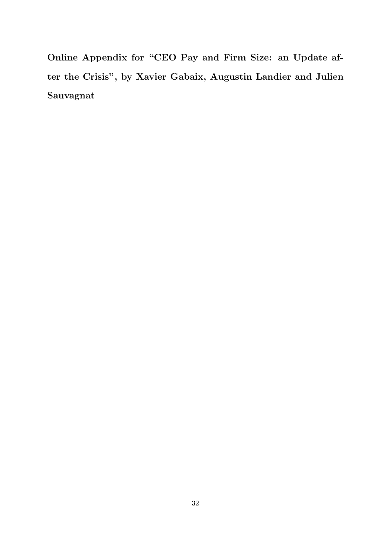Online Appendix for "CEO Pay and Firm Size: an Update after the Crisis", by Xavier Gabaix, Augustin Landier and Julien Sauvagnat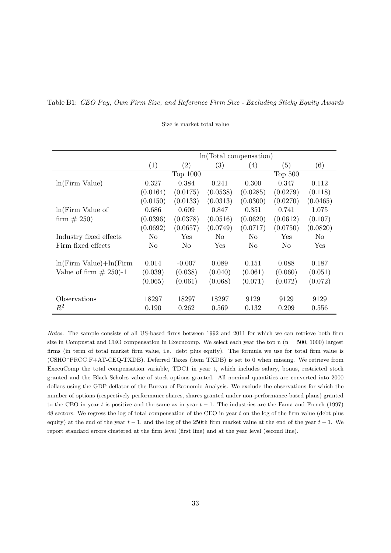Table B1: CEO Pay, Own Firm Size, and Reference Firm Size - Excluding Sticky Equity Awards

|                             |                |                   | $ln(Total$ compensation) |          |                |                |
|-----------------------------|----------------|-------------------|--------------------------|----------|----------------|----------------|
|                             | (1)            | $\left( 2\right)$ | $\left( 3\right)$        | (4)      | (5)            | (6)            |
|                             |                | Top 1000          |                          |          | Top $500$      |                |
| ln(Firm Value)              | 0.327          | 0.384             | 0.241                    | 0.300    | 0.347          | 0.112          |
|                             | (0.0164)       | (0.0175)          | (0.0538)                 | (0.0285) | (0.0279)       | (0.118)        |
|                             | (0.0150)       | (0.0133)          | (0.0313)                 | (0.0300) | (0.0270)       | (0.0465)       |
| $ln(Firm$ Value of          | 0.686          | 0.609             | 0.847                    | 0.851    | 0.741          | 1.075          |
| firm $# 250$                | (0.0396)       | (0.0378)          | (0.0516)                 | (0.0620) | (0.0612)       | (0.107)        |
|                             | (0.0692)       | (0.0657)          | (0.0749)                 | (0.0717) | (0.0750)       | (0.0820)       |
| Industry fixed effects      | No.            | Yes               | N <sub>0</sub>           | No       | Yes            | N <sub>0</sub> |
| Firm fixed effects          | N <sub>0</sub> | N <sub>0</sub>    | Yes                      | No       | N <sub>0</sub> | Yes            |
|                             |                |                   |                          |          |                |                |
| $ln(Firm Value) + ln(Firm)$ | 0.014          | $-0.007$          | 0.089                    | 0.151    | 0.088          | 0.187          |
| Value of firm $\# 250$ )-1  | (0.039)        | (0.038)           | (0.040)                  | (0.061)  | (0.060)        | (0.051)        |
|                             | (0.065)        | (0.061)           | (0.068)                  | (0.071)  | (0.072)        | (0.072)        |
| Observations                | 18297          | 18297             | 18297                    | 9129     | 9129           | 9129           |
| $R^2$                       | 0.190          | 0.262             | 0.569                    | 0.132    | 0.209          | 0.556          |

Size is market total value

Notes. The sample consists of all US-based firms between 1992 and 2011 for which we can retrieve both firm size in Compustat and CEO compensation in Execucomp. We select each year the top  $n$  ( $n = 500, 1000$ ) largest firms (in term of total market firm value, i.e. debt plus equity). The formula we use for total firm value is (CSHO\*PRCC F+AT-CEQ-TXDB). Deferred Taxes (item TXDB) is set to 0 when missing. We retrieve from ExecuComp the total compensation variable, TDC1 in year t, which includes salary, bonus, restricted stock granted and the Black-Scholes value of stock-options granted. All nominal quantities are converted into 2000 dollars using the GDP deflator of the Bureau of Economic Analysis. We exclude the observations for which the number of options (respectively performance shares, shares granted under non-performance-based plans) granted to the CEO in year t is positive and the same as in year  $t - 1$ . The industries are the Fama and French (1997) 48 sectors. We regress the log of total compensation of the CEO in year t on the log of the firm value (debt plus equity) at the end of the year  $t - 1$ , and the log of the 250th firm market value at the end of the year  $t - 1$ . We report standard errors clustered at the firm level (first line) and at the year level (second line).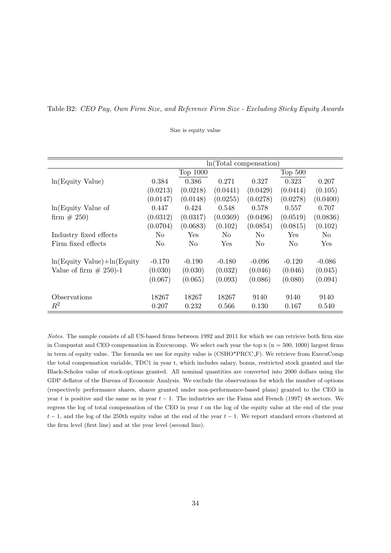Table B2: CEO Pay, Own Firm Size, and Reference Firm Size - Excluding Sticky Equity Awards

|          | Top $500$      |            |                |                |                          |
|----------|----------------|------------|----------------|----------------|--------------------------|
| 0.384    | 0.386          | 0.271      | 0.327          | 0.323          | 0.207                    |
| (0.0213) | (0.0218)       | (0.0441)   | (0.0429)       | (0.0414)       | (0.105)                  |
| (0.0147) | (0.0148)       | (0.0255)   | (0.0278)       | (0.0278)       | (0.0400)                 |
| 0.447    | 0.424          | 0.548      | 0.578          | 0.557          | 0.707                    |
| (0.0312) | (0.0317)       | (0.0369)   | (0.0496)       | (0.0519)       | (0.0836)                 |
| (0.0704) | (0.0683)       | (0.102)    | (0.0854)       | (0.0815)       | (0.102)                  |
| No.      | Yes            | No         | No.            | Yes            | No.                      |
| No       | N <sub>o</sub> | <b>Yes</b> | N <sub>0</sub> | N <sub>0</sub> | Yes                      |
|          |                |            |                |                |                          |
| $-0.170$ | $-0.190$       | $-0.180$   | $-0.096$       | $-0.120$       | $-0.086$                 |
| (0.030)  | (0.030)        | (0.032)    | (0.046)        | (0.046)        | (0.045)                  |
| (0.067)  | (0.065)        | (0.093)    | (0.086)        | (0.080)        | (0.094)                  |
|          |                |            |                |                |                          |
| 18267    | 18267          | 18267      | 9140           | 9140           | 9140                     |
| 0.207    | 0.232          | 0.566      | 0.130          | 0.167          | 0.540                    |
|          |                | Top 1000   |                |                | $ln(Total$ compensation) |

Size is equity value

Notes. The sample consists of all US-based firms between 1992 and 2011 for which we can retrieve both firm size in Compustat and CEO compensation in Execucomp. We select each year the top  $n (n = 500, 1000)$  largest firms in term of equity value. The formula we use for equity value is (CSHO\*PRCC F). We retrieve from ExecuComp the total compensation variable, TDC1 in year t, which includes salary, bonus, restricted stock granted and the Black-Scholes value of stock-options granted. All nominal quantities are converted into 2000 dollars using the GDP deflator of the Bureau of Economic Analysis. We exclude the observations for which the number of options (respectively performance shares, shares granted under non-performance-based plans) granted to the CEO in year t is positive and the same as in year  $t-1$ . The industries are the Fama and French (1997) 48 sectors. We regress the log of total compensation of the CEO in year t on the log of the equity value at the end of the year  $t-1$ , and the log of the 250th equity value at the end of the year  $t-1$ . We report standard errors clustered at the firm level (first line) and at the year level (second line).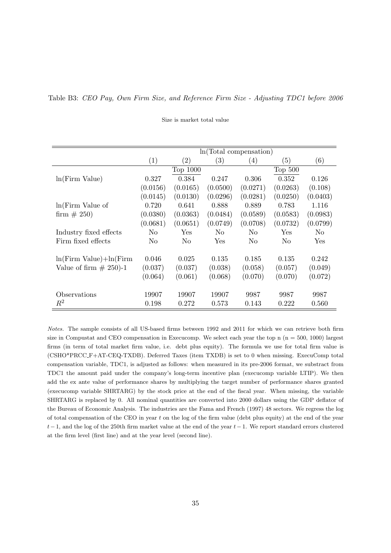Table B3: CEO Pay, Own Firm Size, and Reference Firm Size - Adjusting TDC1 before 2006

|                             |                |                   | ln(Total compensation) |                  |                |                |
|-----------------------------|----------------|-------------------|------------------------|------------------|----------------|----------------|
|                             | (1)            | $\left( 2\right)$ | $\left( 3\right)$      | $\left(4\right)$ | (5)            | (6)            |
|                             |                | Top 1000          |                        |                  | Top $500$      |                |
| ln(Firm Value)              | 0.327          | 0.384             | 0.247                  | 0.306            | 0.352          | 0.126          |
|                             | (0.0156)       | (0.0165)          | (0.0500)               | (0.0271)         | (0.0263)       | (0.108)        |
|                             | (0.0145)       | (0.0130)          | (0.0296)               | (0.0281)         | (0.0250)       | (0.0403)       |
| $ln(Firm$ Value of          | 0.720          | 0.641             | 0.888                  | 0.889            | 0.783          | 1.116          |
| firm $# 250$                | (0.0380)       | (0.0363)          | (0.0484)               | (0.0589)         | (0.0583)       | (0.0983)       |
|                             | (0.0681)       | (0.0651)          | (0.0749)               | (0.0708)         | (0.0732)       | (0.0799)       |
| Industry fixed effects      | No.            | Yes               | N <sub>0</sub>         | No.              | Yes            | N <sub>0</sub> |
| Firm fixed effects          | N <sub>0</sub> | No                | Yes                    | No               | N <sub>0</sub> | Yes            |
|                             |                |                   |                        |                  |                |                |
| $ln(Firm Value) + ln(Firm)$ | 0.046          | 0.025             | 0.135                  | 0.185            | 0.135          | 0.242          |
| Value of firm $# 250$ -1    | (0.037)        | (0.037)           | (0.038)                | (0.058)          | (0.057)        | (0.049)        |
|                             | (0.064)        | (0.061)           | (0.068)                | (0.070)          | (0.070)        | (0.072)        |
|                             |                |                   |                        |                  |                |                |
| Observations                | 19907          | 19907             | 19907                  | 9987             | 9987           | 9987           |
| $\,R^2$                     | 0.198          | 0.272             | 0.573                  | 0.143            | 0.222          | 0.560          |

Size is market total value

Notes. The sample consists of all US-based firms between 1992 and 2011 for which we can retrieve both firm size in Compustat and CEO compensation in Execucomp. We select each year the top  $n$  ( $n = 500, 1000$ ) largest firms (in term of total market firm value, i.e. debt plus equity). The formula we use for total firm value is (CSHO\*PRCC F+AT-CEQ-TXDB). Deferred Taxes (item TXDB) is set to 0 when missing. ExecuComp total compensation variable, TDC1, is adjusted as follows: when measured in its pre-2006 format, we substract from TDC1 the amount paid under the company's long-term incentive plan (execucomp variable LTIP). We then add the ex ante value of performance shares by multiplying the target number of performance shares granted (execucomp variable SHRTARG) by the stock price at the end of the fiscal year. When missing, the variable SHRTARG is replaced by 0. All nominal quantities are converted into 2000 dollars using the GDP deflator of the Bureau of Economic Analysis. The industries are the Fama and French (1997) 48 sectors. We regress the log of total compensation of the CEO in year t on the log of the firm value (debt plus equity) at the end of the year  $t-1$ , and the log of the 250th firm market value at the end of the year  $t-1$ . We report standard errors clustered at the firm level (first line) and at the year level (second line).